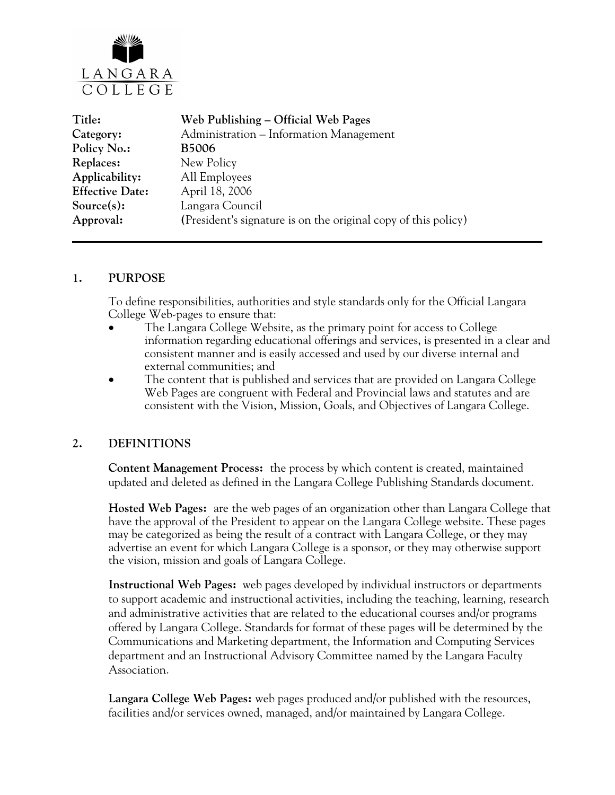

| Title:                 | Web Publishing – Official Web Pages                            |
|------------------------|----------------------------------------------------------------|
| Category:              | Administration - Information Management                        |
| Policy No.:            | <b>B5006</b>                                                   |
| Replaces:              | New Policy                                                     |
| Applicability:         | All Employees                                                  |
| <b>Effective Date:</b> | April 18, 2006                                                 |
| Source(s):             | Langara Council                                                |
| Approval:              | (President's signature is on the original copy of this policy) |
|                        |                                                                |

### **1. PURPOSE**

To define responsibilities, authorities and style standards only for the Official Langara College Web-pages to ensure that:

- The Langara College Website, as the primary point for access to College information regarding educational offerings and services, is presented in a clear and consistent manner and is easily accessed and used by our diverse internal and external communities; and
- The content that is published and services that are provided on Langara College Web Pages are congruent with Federal and Provincial laws and statutes and are consistent with the Vision, Mission, Goals, and Objectives of Langara College.

### **2. DEFINITIONS**

**Content Management Process:** the process by which content is created, maintained updated and deleted as defined in the Langara College Publishing Standards document.

**Hosted Web Pages:** are the web pages of an organization other than Langara College that have the approval of the President to appear on the Langara College website. These pages may be categorized as being the result of a contract with Langara College, or they may advertise an event for which Langara College is a sponsor, or they may otherwise support the vision, mission and goals of Langara College.

**Instructional Web Pages:** web pages developed by individual instructors or departments to support academic and instructional activities, including the teaching, learning, research and administrative activities that are related to the educational courses and/or programs offered by Langara College. Standards for format of these pages will be determined by the Communications and Marketing department, the Information and Computing Services department and an Instructional Advisory Committee named by the Langara Faculty Association.

**Langara College Web Pages:** web pages produced and/or published with the resources, facilities and/or services owned, managed, and/or maintained by Langara College.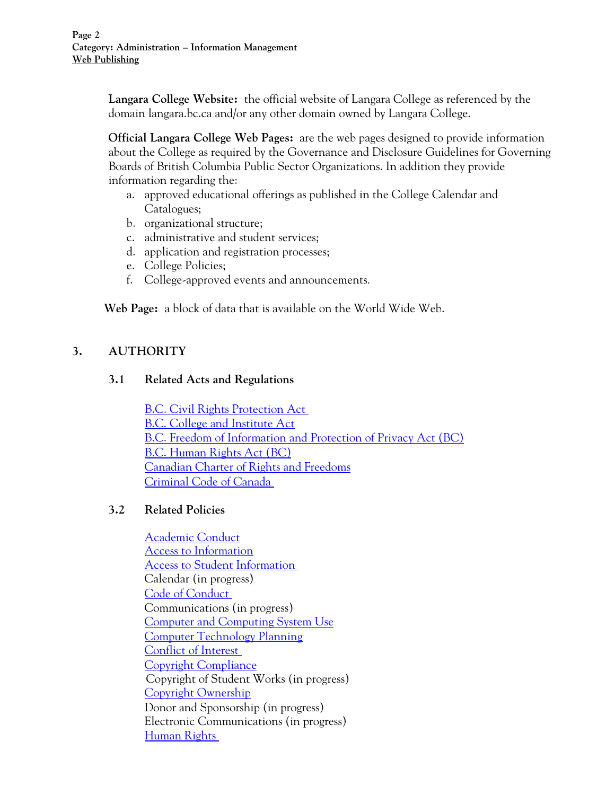**Langara College Website:** the official website of Langara College as referenced by the domain langara.bc.ca and/or any other domain owned by Langara College.

**Official Langara College Web Pages:** are the web pages designed to provide information about the College as required by the Governance and Disclosure Guidelines for Governing Boards of British Columbia Public Sector Organizations. In addition they provide information regarding the:

- a. approved educational offerings as published in the College Calendar and Catalogues;
- b. organizational structure;
- c. administrative and student services;
- d. application and registration processes;
- e. College Policies;
- f. College-approved events and announcements.

**Web Page:** a block of data that is available on the World Wide Web.

# **3. AUTHORITY**

### **3.1 Related Acts and Regulations**

[B.C. Civil Rights Protection Act](http://www.qp.gov.bc.ca/statreg/stat/C/96049_01.htm)  [B.C. College and Institute Act](http://www.qp.gov.bc.ca/statreg/stat/C/96052_01.htm) [B.C. Freedom of Information and Protection of Privacy Act \(BC\)](http://www.qp.gov.bc.ca/statreg/stat/F/96165_01.htm) [B.C. Human Rights Act \(BC\)](http://www.qp.gov.bc.ca/statreg/stat/H/96210_01.htm) [Canadian Charter of Rights and Freedoms](http://lois.justice.gc.ca/en/charter/index.html) [Criminal Code of Canada](http://lois.justice.gc.ca/en/C-46/266995.html) 

### **3.2 Related Policies**

[Academic Conduct](http://www.langara.bc.ca/policies/F1004.pdf) [Access to Information](http://www.langara.bc.ca/policies/B5001.pdf) [Access to Student Information](http://www.langara.bc.ca/policies/E2001.pdf)  Calendar (in progress) [Code of Conduct](http://www.langara.bc.ca/policies/B3002.pdf)  Communications (in progress) [Computer and Computing System Use](http://www.langara.bc.ca/policies/B5002.pdf) [Computer Technology Planning](http://www.langara.bc.ca/policies/B1004.pdf) [Conflict of Interest](http://www.langara.bc.ca/policies/B3003.pdf)  [Copyright Compliance](http://www.langara.bc.ca/policies/B5003.pdf)  Copyright of Student Works (in progress) [Copyright Ownership](http://www.langara.bc.ca/policies/B5004.pdf) Donor and Sponsorship (in progress) Electronic Communications (in progress) [Human Rights](http://www.langara.bc.ca/policies/B3008.pdf)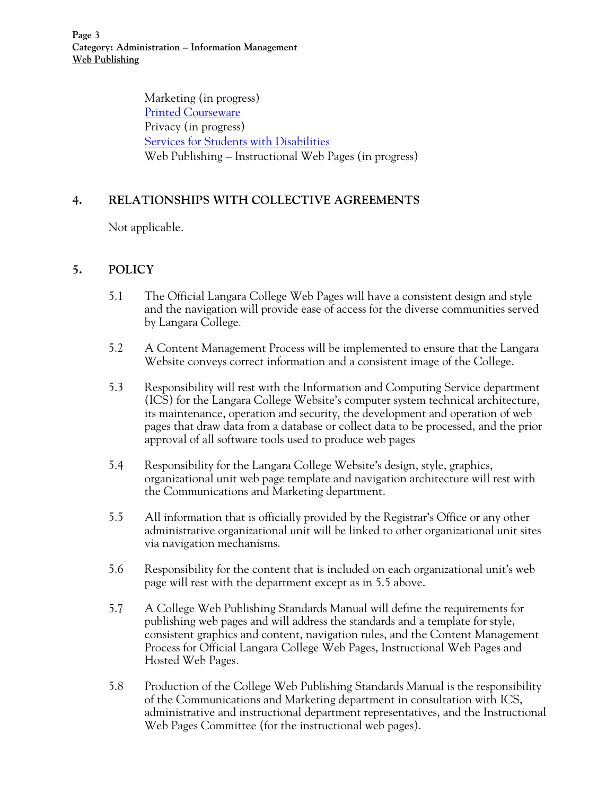Marketing (in progress) [Printed Courseware](http://www.langara.bc.ca/policies/B5005.pdf) Privacy (in progress) [Services for Students with Disabilities](http://www.langara.bc.ca/policies/E1005.pdf) Web Publishing – Instructional Web Pages (in progress)

### **4. RELATIONSHIPS WITH COLLECTIVE AGREEMENTS**

Not applicable.

### **5. POLICY**

- 5.1 The Official Langara College Web Pages will have a consistent design and style and the navigation will provide ease of access for the diverse communities served by Langara College.
- 5.2 A Content Management Process will be implemented to ensure that the Langara Website conveys correct information and a consistent image of the College.
- 5.3 Responsibility will rest with the Information and Computing Service department (ICS) for the Langara College Website's computer system technical architecture, its maintenance, operation and security, the development and operation of web pages that draw data from a database or collect data to be processed, and the prior approval of all software tools used to produce web pages
- 5.4 Responsibility for the Langara College Website's design, style, graphics, organizational unit web page template and navigation architecture will rest with the Communications and Marketing department.
- 5.5 All information that is officially provided by the Registrar's Office or any other administrative organizational unit will be linked to other organizational unit sites via navigation mechanisms.
- 5.6 Responsibility for the content that is included on each organizational unit's web page will rest with the department except as in 5.5 above.
- 5.7 A College Web Publishing Standards Manual will define the requirements for publishing web pages and will address the standards and a template for style, consistent graphics and content, navigation rules, and the Content Management Process for Official Langara College Web Pages, Instructional Web Pages and Hosted Web Pages*.*
- 5.8 Production of the College Web Publishing Standards Manual is the responsibility of the Communications and Marketing department in consultation with ICS, administrative and instructional department representatives, and the Instructional Web Pages Committee (for the instructional web pages).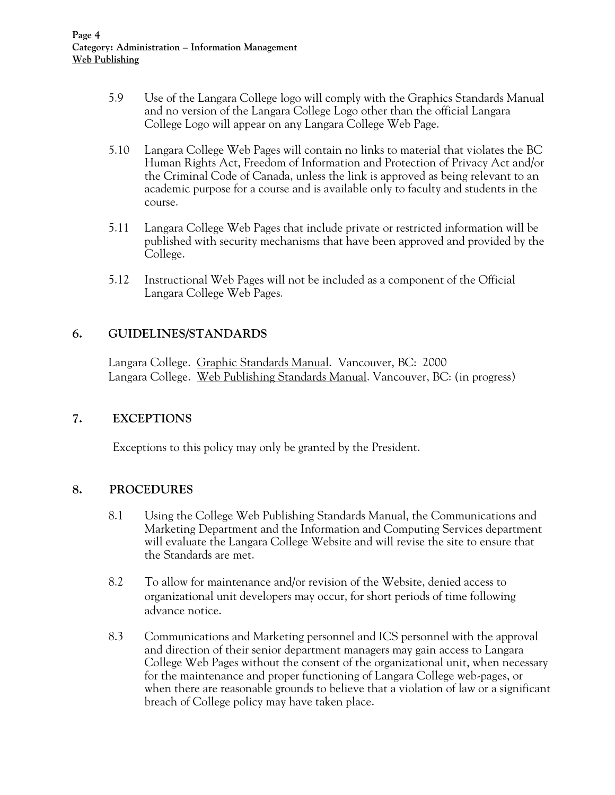- 5.9 Use of the Langara College logo will comply with the Graphics Standards Manual and no version of the Langara College Logo other than the official Langara College Logo will appear on any Langara College Web Page.
- 5.10 Langara College Web Pages will contain no links to material that violates the BC Human Rights Act, Freedom of Information and Protection of Privacy Act and/or the Criminal Code of Canada, unless the link is approved as being relevant to an academic purpose for a course and is available only to faculty and students in the course.
- 5.11 Langara College Web Pages that include private or restricted information will be published with security mechanisms that have been approved and provided by the College.
- 5.12 Instructional Web Pages will not be included as a component of the Official Langara College Web Pages.

### **6. GUIDELINES/STANDARDS**

Langara College. Graphic Standards Manual. Vancouver, BC: 2000 Langara College. Web Publishing Standards Manual. Vancouver, BC: (in progress)

### **7. EXCEPTIONS**

Exceptions to this policy may only be granted by the President.

### **8. PROCEDURES**

- 8.1 Using the College Web Publishing Standards Manual, the Communications and Marketing Department and the Information and Computing Services department will evaluate the Langara College Website and will revise the site to ensure that the Standards are met.
- 8.2 To allow for maintenance and/or revision of the Website, denied access to organizational unit developers may occur, for short periods of time following advance notice.
- 8.3 Communications and Marketing personnel and ICS personnel with the approval and direction of their senior department managers may gain access to Langara College Web Pages without the consent of the organizational unit, when necessary for the maintenance and proper functioning of Langara College web-pages, or when there are reasonable grounds to believe that a violation of law or a significant breach of College policy may have taken place.